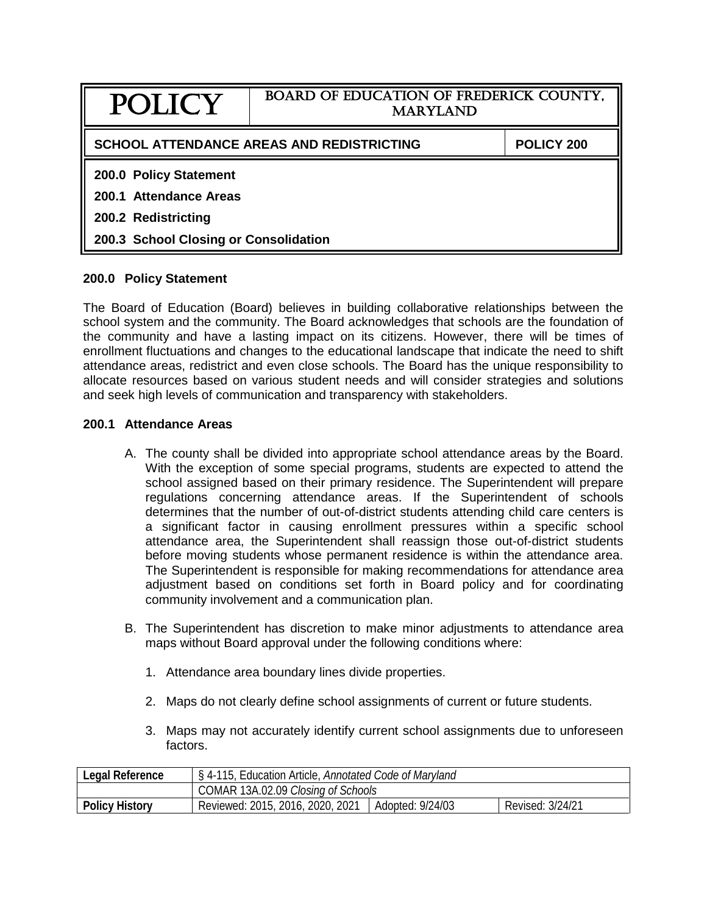| POLICY                                                  | <b>BOARD OF EDUCATION OF FREDERICK COUNTY,</b><br><b>MARYLAND</b> |  |  |  |
|---------------------------------------------------------|-------------------------------------------------------------------|--|--|--|
| SCHOOL ATTENDANCE AREAS AND REDISTRICTING<br>POLICY 200 |                                                                   |  |  |  |
| 200.0 Policy Statement                                  |                                                                   |  |  |  |
| 200.1 Attendance Areas                                  |                                                                   |  |  |  |
| 200.2 Redistricting                                     |                                                                   |  |  |  |
| 200.3 School Closing or Consolidation                   |                                                                   |  |  |  |

## **200.0 Policy Statement**

The Board of Education (Board) believes in building collaborative relationships between the school system and the community. The Board acknowledges that schools are the foundation of the community and have a lasting impact on its citizens. However, there will be times of enrollment fluctuations and changes to the educational landscape that indicate the need to shift attendance areas, redistrict and even close schools. The Board has the unique responsibility to allocate resources based on various student needs and will consider strategies and solutions and seek high levels of communication and transparency with stakeholders.

## **200.1 Attendance Areas**

- A. The county shall be divided into appropriate school attendance areas by the Board. With the exception of some special programs, students are expected to attend the school assigned based on their primary residence. The Superintendent will prepare regulations concerning attendance areas. If the Superintendent of schools determines that the number of out-of-district students attending child care centers is a significant factor in causing enrollment pressures within a specific school attendance area, the Superintendent shall reassign those out-of-district students before moving students whose permanent residence is within the attendance area. The Superintendent is responsible for making recommendations for attendance area adjustment based on conditions set forth in Board policy and for coordinating community involvement and a communication plan.
- B. The Superintendent has discretion to make minor adjustments to attendance area maps without Board approval under the following conditions where:
	- 1. Attendance area boundary lines divide properties.
	- 2. Maps do not clearly define school assignments of current or future students.
	- 3. Maps may not accurately identify current school assignments due to unforeseen factors.

| Legal Reference       | § 4-115, Education Article, Annotated Code of Maryland |                  |                  |  |
|-----------------------|--------------------------------------------------------|------------------|------------------|--|
|                       | COMAR 13A.02.09 Closing of Schools                     |                  |                  |  |
| <b>Policy History</b> | Reviewed: 2015, 2016, 2020, 2021                       | Adopted: 9/24/03 | Revised: 3/24/21 |  |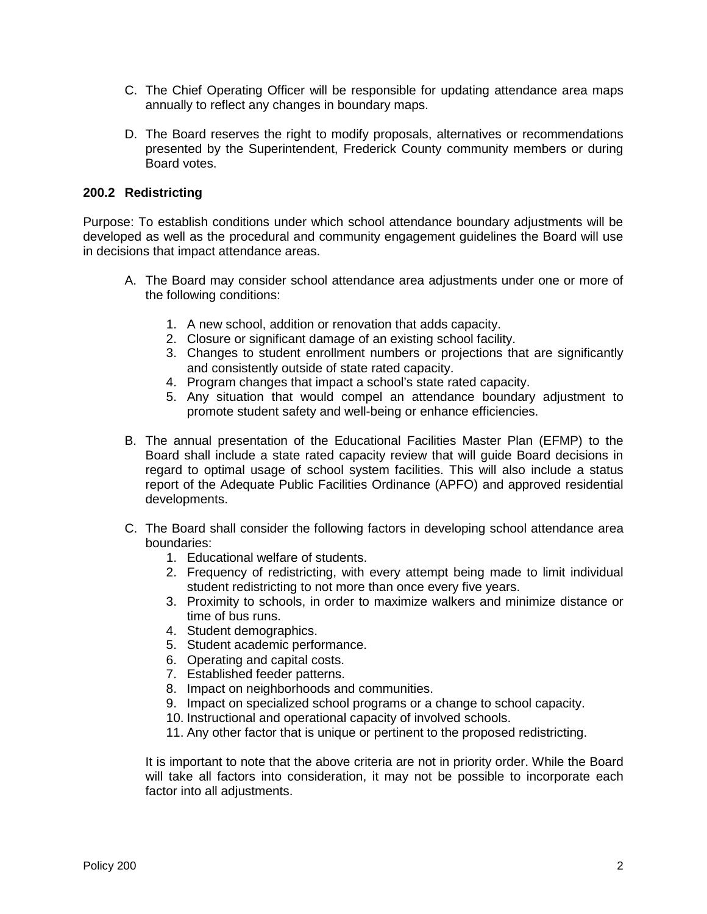- C. The Chief Operating Officer will be responsible for updating attendance area maps annually to reflect any changes in boundary maps.
- D. The Board reserves the right to modify proposals, alternatives or recommendations presented by the Superintendent, Frederick County community members or during Board votes.

## **200.2 Redistricting**

Purpose: To establish conditions under which school attendance boundary adjustments will be developed as well as the procedural and community engagement guidelines the Board will use in decisions that impact attendance areas.

- A. The Board may consider school attendance area adjustments under one or more of the following conditions:
	- 1. A new school, addition or renovation that adds capacity.
	- 2. Closure or significant damage of an existing school facility.
	- 3. Changes to student enrollment numbers or projections that are significantly and consistently outside of state rated capacity.
	- 4. Program changes that impact a school's state rated capacity.
	- 5. Any situation that would compel an attendance boundary adjustment to promote student safety and well-being or enhance efficiencies.
- B. The annual presentation of the Educational Facilities Master Plan (EFMP) to the Board shall include a state rated capacity review that will guide Board decisions in regard to optimal usage of school system facilities. This will also include a status report of the Adequate Public Facilities Ordinance (APFO) and approved residential developments.
- C. The Board shall consider the following factors in developing school attendance area boundaries:
	- 1. Educational welfare of students.
	- 2. Frequency of redistricting, with every attempt being made to limit individual student redistricting to not more than once every five years.
	- 3. Proximity to schools, in order to maximize walkers and minimize distance or time of bus runs.
	- 4. Student demographics.
	- 5. Student academic performance.
	- 6. Operating and capital costs.
	- 7. Established feeder patterns.
	- 8. Impact on neighborhoods and communities.
	- 9. Impact on specialized school programs or a change to school capacity.
	- 10. Instructional and operational capacity of involved schools.
	- 11. Any other factor that is unique or pertinent to the proposed redistricting.

It is important to note that the above criteria are not in priority order. While the Board will take all factors into consideration, it may not be possible to incorporate each factor into all adjustments.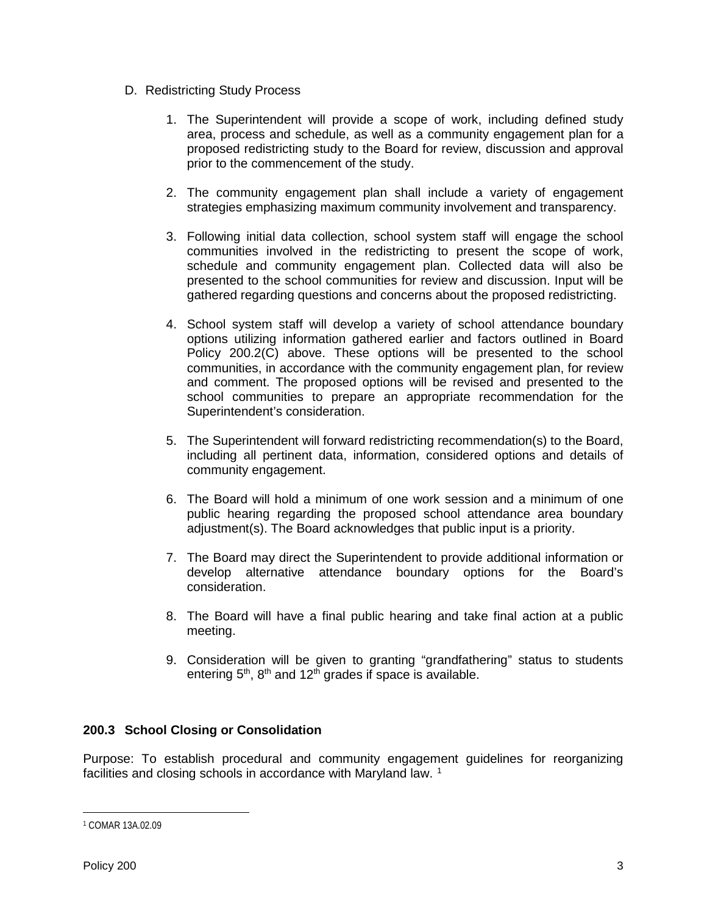- D. Redistricting Study Process
	- 1. The Superintendent will provide a scope of work, including defined study area, process and schedule, as well as a community engagement plan for a proposed redistricting study to the Board for review, discussion and approval prior to the commencement of the study.
	- 2. The community engagement plan shall include a variety of engagement strategies emphasizing maximum community involvement and transparency.
	- 3. Following initial data collection, school system staff will engage the school communities involved in the redistricting to present the scope of work, schedule and community engagement plan. Collected data will also be presented to the school communities for review and discussion. Input will be gathered regarding questions and concerns about the proposed redistricting.
	- 4. School system staff will develop a variety of school attendance boundary options utilizing information gathered earlier and factors outlined in Board Policy 200.2(C) above. These options will be presented to the school communities, in accordance with the community engagement plan, for review and comment. The proposed options will be revised and presented to the school communities to prepare an appropriate recommendation for the Superintendent's consideration.
	- 5. The Superintendent will forward redistricting recommendation(s) to the Board, including all pertinent data, information, considered options and details of community engagement.
	- 6. The Board will hold a minimum of one work session and a minimum of one public hearing regarding the proposed school attendance area boundary adjustment(s). The Board acknowledges that public input is a priority.
	- 7. The Board may direct the Superintendent to provide additional information or develop alternative attendance boundary options for the Board's consideration.
	- 8. The Board will have a final public hearing and take final action at a public meeting.
	- 9. Consideration will be given to granting "grandfathering" status to students entering  $5<sup>th</sup>$ ,  $8<sup>th</sup>$  and  $12<sup>th</sup>$  grades if space is available.

## **200.3 School Closing or Consolidation**

Purpose: To establish procedural and community engagement guidelines for reorganizing facilities and closing schools in accordance with Maryland law.<sup>[1](#page-2-0)</sup>

<span id="page-2-0"></span> $\overline{a}$ <sup>1</sup> COMAR 13A.02.09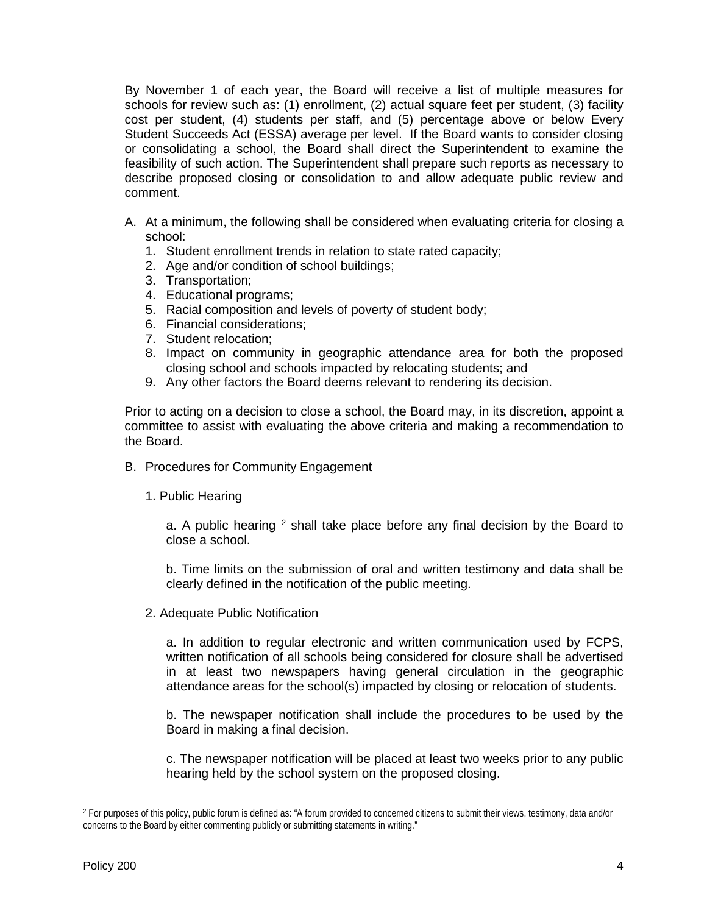By November 1 of each year, the Board will receive a list of multiple measures for schools for review such as: (1) enrollment, (2) actual square feet per student, (3) facility cost per student, (4) students per staff, and (5) percentage above or below Every Student Succeeds Act (ESSA) average per level. If the Board wants to consider closing or consolidating a school, the Board shall direct the Superintendent to examine the feasibility of such action. The Superintendent shall prepare such reports as necessary to describe proposed closing or consolidation to and allow adequate public review and comment.

- A. At a minimum, the following shall be considered when evaluating criteria for closing a school:
	- 1. Student enrollment trends in relation to state rated capacity;
	- 2. Age and/or condition of school buildings;
	- 3. Transportation;
	- 4. Educational programs;
	- 5. Racial composition and levels of poverty of student body;
	- 6. Financial considerations;
	- 7. Student relocation;
	- 8. Impact on community in geographic attendance area for both the proposed closing school and schools impacted by relocating students; and
	- 9. Any other factors the Board deems relevant to rendering its decision.

Prior to acting on a decision to close a school, the Board may, in its discretion, appoint a committee to assist with evaluating the above criteria and making a recommendation to the Board.

- B. Procedures for Community Engagement
	- 1. Public Hearing

a. A public hearing  $2$  shall take place before any final decision by the Board to close a school.

b. Time limits on the submission of oral and written testimony and data shall be clearly defined in the notification of the public meeting.

2. Adequate Public Notification

a. In addition to regular electronic and written communication used by FCPS, written notification of all schools being considered for closure shall be advertised in at least two newspapers having general circulation in the geographic attendance areas for the school(s) impacted by closing or relocation of students.

b. The newspaper notification shall include the procedures to be used by the Board in making a final decision.

c. The newspaper notification will be placed at least two weeks prior to any public hearing held by the school system on the proposed closing.

 $\overline{a}$ 

<span id="page-3-0"></span><sup>2</sup> For purposes of this policy, public forum is defined as: "A forum provided to concerned citizens to submit their views, testimony, data and/or concerns to the Board by either commenting publicly or submitting statements in writing."